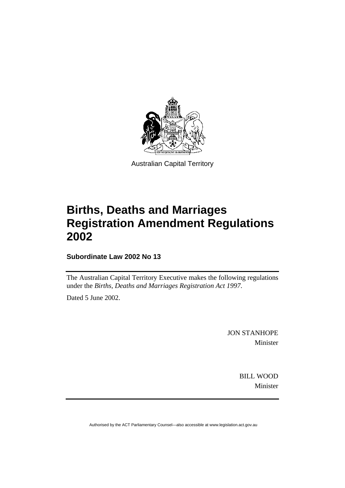

Australian Capital Territory

## **Births, Deaths and Marriages Registration Amendment Regulations 2002**

**Subordinate Law 2002 No 13** 

The Australian Capital Territory Executive makes the following regulations under the *Births, Deaths and Marriages Registration Act 1997*.

Dated 5 June 2002.

JON STANHOPE Minister

> BILL WOOD Minister

Authorised by the ACT Parliamentary Counsel—also accessible at www.legislation.act.gov.au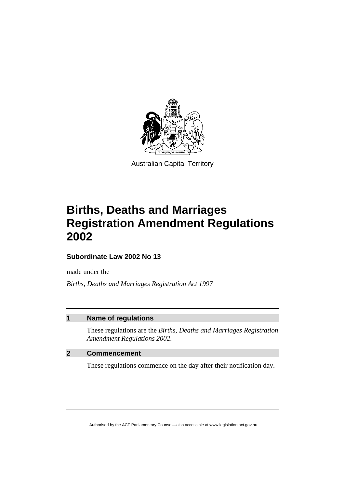

Australian Capital Territory

# **Births, Deaths and Marriages Registration Amendment Regulations 2002**

**Subordinate Law 2002 No 13** 

made under the

*Births, Deaths and Marriages Registration Act 1997* 

### **1 Name of regulations**

These regulations are the *Births, Deaths and Marriages Registration Amendment Regulations 2002.*

### **2 Commencement**

These regulations commence on the day after their notification day.

Authorised by the ACT Parliamentary Counsel—also accessible at www.legislation.act.gov.au